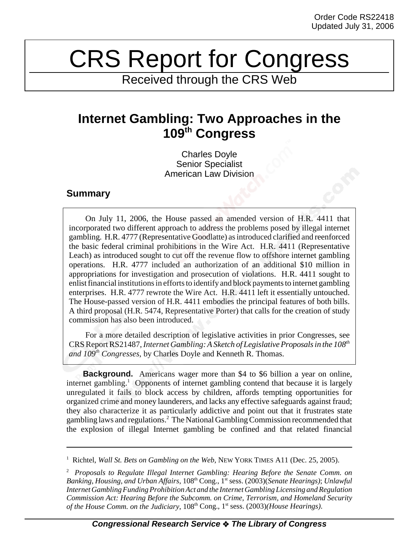## CRS Report for Congress

Received through the CRS Web

## **Internet Gambling: Two Approaches in the 109th Congress**

Charles Doyle Senior Specialist American Law Division

## **Summary**

On July 11, 2006, the House passed an amended version of H.R. 4411 that incorporated two different approach to address the problems posed by illegal internet gambling. H.R. 4777 (Representative Goodlatte) as introduced clarified and reenforced the basic federal criminal prohibitions in the Wire Act. H.R. 4411 (Representative Leach) as introduced sought to cut off the revenue flow to offshore internet gambling operations. H.R. 4777 included an authorization of an additional \$10 million in appropriations for investigation and prosecution of violations. H.R. 4411 sought to enlist financial institutions in efforts to identify and block payments to internet gambling enterprises. H.R. 4777 rewrote the Wire Act. H.R. 4411 left it essentially untouched. The House-passed version of H.R. 4411 embodies the principal features of both bills. A third proposal (H.R. 5474, Representative Porter) that calls for the creation of study commission has also been introduced.

For a more detailed description of legislative activities in prior Congresses, see CRS Report RS21487, *Internet Gambling: A Sketch of Legislative Proposals in the 108th and 109th Congresses*, by Charles Doyle and Kenneth R. Thomas.

**Background.** Americans wager more than \$4 to \$6 billion a year on online, internet gambling.<sup>1</sup> Opponents of internet gambling contend that because it is largely unregulated it fails to block access by children, affords tempting opportunities for organized crime and money launderers, and lacks any effective safeguards against fraud; they also characterize it as particularly addictive and point out that it frustrates state gambling laws and regulations.<sup>2</sup> The National Gambling Commission recommended that the explosion of illegal Internet gambling be confined and that related financial

<sup>&</sup>lt;sup>1</sup> Richtel, *Wall St. Bets on Gambling on the Web*, NEW YORK TIMES A11 (Dec. 25, 2005).

<sup>2</sup> *Proposals to Regulate Illegal Internet Gambling: Hearing Before the Senate Comm. on Banking, Housing, and Urban Affairs*, 108th Cong., 1st sess. (2003)(*Senate Hearings)*; *Unlawful Internet Gambling Funding Prohibition Act and the Internet Gambling Licensing and Regulation Commission Act: Hearing Before the Subcomm. on Crime, Terrorism, and Homeland Security of the House Comm. on the Judiciary,*  $108<sup>th</sup> Cong., 1<sup>st</sup> sess. (2003)*(House Hearings)*.$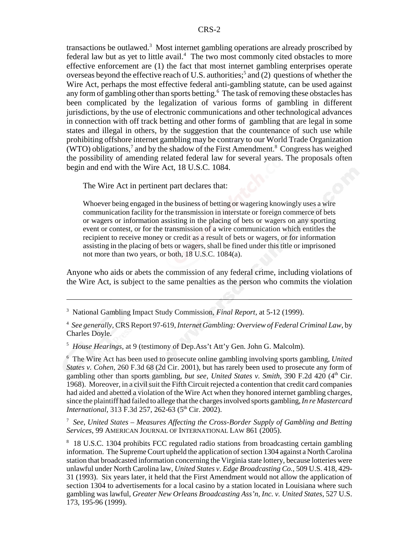transactions be outlawed.<sup>3</sup> Most internet gambling operations are already proscribed by federal law but as yet to little avail.<sup>4</sup> The two most commonly cited obstacles to more effective enforcement are (1) the fact that most internet gambling enterprises operate overseas beyond the effective reach of U.S. authorities;<sup>5</sup> and (2) questions of whether the Wire Act, perhaps the most effective federal anti-gambling statute, can be used against any form of gambling other than sports betting.<sup>6</sup> The task of removing these obstacles has been complicated by the legalization of various forms of gambling in different jurisdictions, by the use of electronic communications and other technological advances in connection with off track betting and other forms of gambling that are legal in some states and illegal in others, by the suggestion that the countenance of such use while prohibiting offshore internet gambling may be contrary to our World Trade Organization (WTO) obligations,<sup>7</sup> and by the shadow of the First Amendment.<sup>8</sup> Congress has weighed the possibility of amending related federal law for several years. The proposals often begin and end with the Wire Act, 18 U.S.C. 1084.

The Wire Act in pertinent part declares that:

Whoever being engaged in the business of betting or wagering knowingly uses a wire communication facility for the transmission in interstate or foreign commerce of bets or wagers or information assisting in the placing of bets or wagers on any sporting event or contest, or for the transmission of a wire communication which entitles the recipient to receive money or credit as a result of bets or wagers, or for information assisting in the placing of bets or wagers, shall be fined under this title or imprisoned not more than two years, or both, 18 U.S.C. 1084(a).

Anyone who aids or abets the commission of any federal crime, including violations of the Wire Act, is subject to the same penalties as the person who commits the violation

5 *House Hearings*, at 9 (testimony of Dep.Ass't Att'y Gen. John G. Malcolm).

6 The Wire Act has been used to prosecute online gambling involving sports gambling, *United States v. Cohen*, 260 F.3d 68 (2d Cir. 2001), but has rarely been used to prosecute any form of gambling other than sports gambling, *but see*, *United States v. Smith*, 390 F.2d 420 (4th Cir. 1968). Moreover, in a civil suit the Fifth Circuit rejected a contention that credit card companies had aided and abetted a violation of the Wire Act when they honored internet gambling charges, since the plaintiff had failed to allege that the charges involved sports gambling, *In re Mastercard International*, 313 F.3d 257, 262-63 (5<sup>th</sup> Cir. 2002).

7 *See*, *United States – Measures Affecting the Cross-Border Supply of Gambling and Betting Services*, 99 AMERICAN JOURNAL OF INTERNATIONAL LAW 861 (2005).

<sup>8</sup> 18 U.S.C. 1304 prohibits FCC regulated radio stations from broadcasting certain gambling information. The Supreme Court upheld the application of section 1304 against a North Carolina station that broadcasted information concerning the Virginia state lottery, because lotteries were unlawful under North Carolina law, *United States v. Edge Broadcasting Co.*, 509 U.S. 418, 429- 31 (1993). Six years later, it held that the First Amendment would not allow the application of section 1304 to advertisements for a local casino by a station located in Louisiana where such gambling was lawful, *Greater New Orleans Broadcasting Ass'n, Inc. v. United States*, 527 U.S. 173, 195-96 (1999).

<sup>3</sup> National Gambling Impact Study Commission, *Final Report*, at 5-12 (1999).

<sup>4</sup> *See generally*, CRS Report 97-619, *Internet Gambling: Overview of Federal Criminal Law*, by Charles Doyle.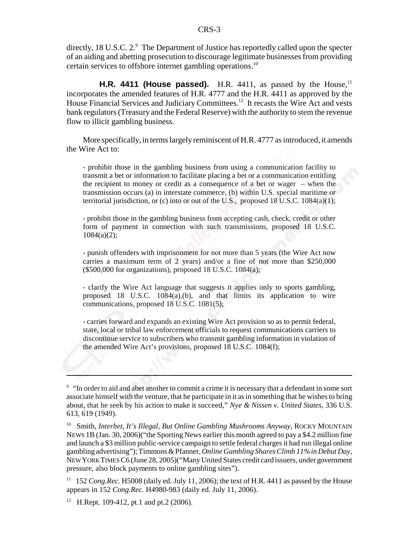directly, 18 U.S.C. 2.9 The Department of Justice has reportedly called upon the specter of an aiding and abetting prosecution to discourage legitimate businesses from providing certain services to offshore internet gambling operations.10

**H.R. 4411 (House passed).** H.R. 4411, as passed by the House,  $11$ incorporates the amended features of H.R. 4777 and the H.R. 4411 as approved by the House Financial Services and Judiciary Committees.<sup>12</sup> It recasts the Wire Act and vests bank regulators (Treasury and the Federal Reserve) with the authority to stem the revenue flow to illicit gambling business.

More specifically, in terms largely reminiscent of H.R. 4777 as introduced, it amends the Wire Act to:

- prohibit those in the gambling business from using a communication facility to transmit a bet or information to facilitate placing a bet or a communication entitling the recipient to money or credit as a consequence of a bet or wager – when the transmission occurs (a) in interstate commerce, (b) within U.S. special maritime or territorial jurisdiction, or (c) into or out of the U.S., proposed 18 U.S.C. 1084(a)(1);

- prohibit those in the gambling business from accepting cash, check, credit or other form of payment in connection with such transmissions, proposed 18 U.S.C.  $1084(a)(2)$ ;

- punish offenders with imprisonment for not more than 5 years (the Wire Act now carries a maximum term of 2 years) and/or a fine of not more than \$250,000 (\$500,000 for organizations), proposed 18 U.S.C. 1084(a);

- clarify the Wire Act language that suggests it applies only to sports gambling, proposed 18 U.S.C. 1084(a),(b), and that limits its application to wire communications, proposed 18 U.S.C. 1081(5);

- carries forward and expands an existing Wire Act provision so as to permit federal, state, local or tribal law enforcement officials to request communications carriers to discontinue service to subscribers who transmit gambling information in violation of the amended Wire Act's provisions, proposed 18 U.S.C. 1084(f);

<sup>&</sup>lt;sup>9</sup> "In order to aid and abet another to commit a crime it is necessary that a defendant in some sort associate himself with the venture, that he participate in it as in something that he wishes to bring about, that he seek by his action to make it succeed," *Nye & Nissen v. United States*, 336 U.S. 613, 619 (1949).

<sup>&</sup>lt;sup>10</sup> Smith, *Interbet, It's Illegal, But Online Gambling Mushrooms Anyway*, ROCKY MOUNTAIN NEWS 1B (Jan. 30, 2006)("the Sporting News earlier this month agreed to pay a \$4.2 million fine and launch a \$3 million public-service campaign to settle federal charges it had run illegal online gambling advertising"); Timmons & Pfanner, *Online Gambling Shares Climb 11% in Debut Day*, NEW YORK TIMES C6 (June 28, 2005)("Many United States credit card issuers, under government pressure, also block payments to online gambling sites").

<sup>&</sup>lt;sup>11</sup> 152 *Cong.Rec.* H5008 (daily ed. July 11, 2006); the text of H.R. 4411 as passed by the House appears in 152 *Cong.Rec.* H4980-983 (daily ed. July 11, 2006).

<sup>&</sup>lt;sup>12</sup> H.Rept. 109-412, pt.1 and pt.2 (2006).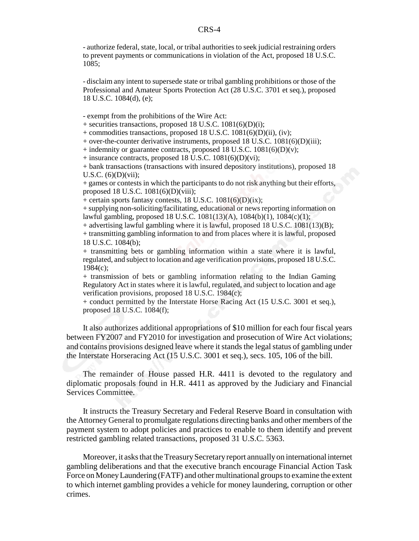- authorize federal, state, local, or tribal authorities to seek judicial restraining orders to prevent payments or communications in violation of the Act, proposed 18 U.S.C. 1085;

- disclaim any intent to supersede state or tribal gambling prohibitions or those of the Professional and Amateur Sports Protection Act (28 U.S.C. 3701 et seq.), proposed 18 U.S.C. 1084(d), (e);

- exempt from the prohibitions of the Wire Act:

+ securities transactions, proposed 18 U.S.C. 1081(6)(D)(i);

+ commodities transactions, proposed 18 U.S.C. 1081(6)(D)(ii), (iv);

+ over-the-counter derivative instruments, proposed 18 U.S.C. 1081(6)(D)(iii);

+ indemnity or guarantee contracts, proposed 18 U.S.C.  $1081(6)(D)(v)$ ;

+ insurance contracts, proposed 18 U.S.C. 1081(6)(D)(vi);

+ bank transactions (transactions with insured depository institutions), proposed 18 U.S.C.  $(6)(D)(vii)$ ;

+ games or contests in which the participants to do not risk anything but their efforts, proposed 18 U.S.C. 1081(6)(D)(viii);

+ certain sports fantasy contests, 18 U.S.C.  $1081(6)(D)(ix)$ ;

+ supplying non-soliciting/facilitating, educational or news reporting information on lawful gambling, proposed 18 U.S.C. 1081(13)(A), 1084(b)(1), 1084(c)(1);

+ advertising lawful gambling where it is lawful, proposed 18 U.S.C. 1081(13)(B);

+ transmitting gambling information to and from places where it is lawful, proposed 18 U.S.C. 1084(b);

+ transmitting bets or gambling information within a state where it is lawful, regulated, and subject to location and age verification provisions, proposed 18 U.S.C. 1984(c);

+ transmission of bets or gambling information relating to the Indian Gaming Regulatory Act in states where it is lawful, regulated, and subject to location and age verification provisions, proposed 18 U.S.C. 1984(c);

+ conduct permitted by the Interstate Horse Racing Act (15 U.S.C. 3001 et seq.), proposed 18 U.S.C. 1084(f);

It also authorizes additional appropriations of \$10 million for each four fiscal years between FY2007 and FY2010 for investigation and prosecution of Wire Act violations; and contains provisions designed leave where it stands the legal status of gambling under the Interstate Horseracing Act (15 U.S.C. 3001 et seq.), secs. 105, 106 of the bill.

The remainder of House passed H.R. 4411 is devoted to the regulatory and diplomatic proposals found in H.R. 4411 as approved by the Judiciary and Financial Services Committee.

It instructs the Treasury Secretary and Federal Reserve Board in consultation with the Attorney General to promulgate regulations directing banks and other members of the payment system to adopt policies and practices to enable to them identify and prevent restricted gambling related transactions, proposed 31 U.S.C. 5363.

Moreover, it asks that the Treasury Secretary report annually on international internet gambling deliberations and that the executive branch encourage Financial Action Task Force on Money Laundering (FATF) and other multinational groups to examine the extent to which internet gambling provides a vehicle for money laundering, corruption or other crimes.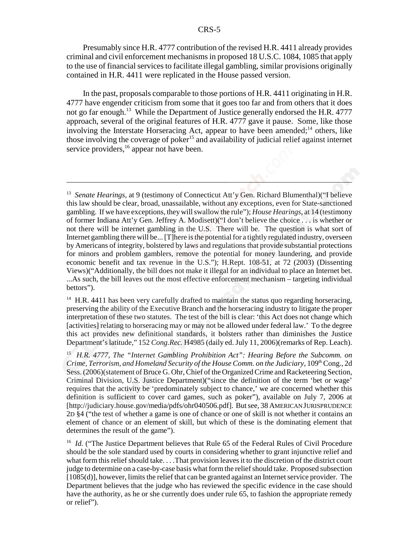Presumably since H.R. 4777 contribution of the revised H.R. 4411 already provides criminal and civil enforcement mechanisms in proposed 18 U.S.C. 1084, 1085 that apply to the use of financial services to facilitate illegal gambling, similar provisions originally contained in H.R. 4411 were replicated in the House passed version.

In the past, proposals comparable to those portions of H.R. 4411 originating in H.R. 4777 have engender criticism from some that it goes too far and from others that it does not go far enough.<sup>13</sup> While the Department of Justice generally endorsed the H.R. 4777 approach, several of the original features of H.R. 4777 gave it pause. Some, like those involving the Interstate Horseracing Act, appear to have been amended;<sup>14</sup> others, like those involving the coverage of poker<sup>15</sup> and availability of judicial relief against internet service providers,<sup>16</sup> appear not have been.

<sup>&</sup>lt;sup>13</sup> Senate Hearings, at 9 (testimony of Connecticut Att'y Gen. Richard Blumenthal)("I believe this law should be clear, broad, unassailable, without any exceptions, even for State-sanctioned gambling. If we have exceptions, they will swallow the rule"); *House Hearings*, at 14 (testimony of former Indiana Att'y Gen. Jeffrey A. Modisett)("I don't believe the choice . . . is whether or not there will be internet gambling in the U.S. There will be. The question is what sort of Internet gambling there will be... [T]here is the potential for a tightly regulated industry, overseen by Americans of integrity, bolstered by laws and regulations that provide substantial protections for minors and problem gamblers, remove the potential for money laundering, and provide economic benefit and tax revenue in the U.S."); H.Rept. 108-51, at 72 (2003) (Dissenting Views)("Additionally, the bill does not make it illegal for an individual to place an Internet bet. ...As such, the bill leaves out the most effective enforcement mechanism – targeting individual bettors").

 $14$  H.R. 4411 has been very carefully drafted to maintain the status quo regarding horseracing, preserving the ability of the Executive Branch and the horseracing industry to litigate the proper interpretation of these two statutes. The test of the bill is clear: 'this Act does not change which [activities] relating to horseracing may or may not be allowed under federal law.' To the degree this act provides new definitional standards, it bolsters rather than diminishes the Justice Department's latitude," 152 *Cong.Rec.* H4985 (daily ed. July 11, 2006)(remarks of Rep. Leach).

<sup>15</sup> *H.R. 4777, The "Internet Gambling Prohibition Act": Hearing Before the Subcomm. on Crime, Terrorism, and Homeland Security of the House Comm. on the Judiciary, 109th* Cong., 2d Sess. (2006)(statement of Bruce G. Ohr, Chief of the Organized Crime and Racketeering Section, Criminal Division, U.S. Justice Department)("since the definition of the term 'bet or wage' requires that the activity be 'predominately subject to chance,' we are concerned whether this definition is sufficient to cover card games, such as poker"), available on July 7, 2006 at [http://judiciary.house.gov/media/pdfs/ohr040506.pdf]. But see, 38 AMERICAN JURISPRUDENCE 2D §4 ("the test of whether a game is one of chance or one of skill is not whether it contains an element of chance or an element of skill, but which of these is the dominating element that determines the result of the game").

<sup>&</sup>lt;sup>16</sup> *Id.* ("The Justice Department believes that Rule 65 of the Federal Rules of Civil Procedure should be the sole standard used by courts in considering whether to grant injunctive relief and what form this relief should take. . . .That provision leaves it to the discretion of the district court judge to determine on a case-by-case basis what form the relief should take. Proposed subsection [1085(d)], however, limits the relief that can be granted against an Internet service provider. The Department believes that the judge who has reviewed the specific evidence in the case should have the authority, as he or she currently does under rule 65, to fashion the appropriate remedy or relief").